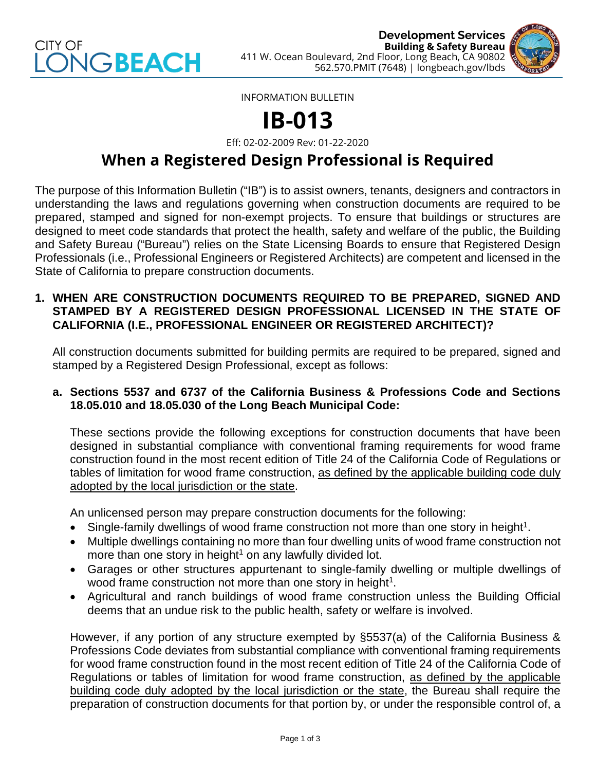



INFORMATION BULLETIN

# **IB-013**

Eff: 02-02-2009 Rev: 01-22-2020

## **When a Registered Design Professional is Required**

The purpose of this Information Bulletin ("IB") is to assist owners, tenants, designers and contractors in understanding the laws and regulations governing when construction documents are required to be prepared, stamped and signed for non-exempt projects. To ensure that buildings or structures are designed to meet code standards that protect the health, safety and welfare of the public, the Building and Safety Bureau ("Bureau") relies on the State Licensing Boards to ensure that Registered Design Professionals (i.e., Professional Engineers or Registered Architects) are competent and licensed in the State of California to prepare construction documents.

#### **1. WHEN ARE CONSTRUCTION DOCUMENTS REQUIRED TO BE PREPARED, SIGNED AND STAMPED BY A REGISTERED DESIGN PROFESSIONAL LICENSED IN THE STATE OF CALIFORNIA (I.E., PROFESSIONAL ENGINEER OR REGISTERED ARCHITECT)?**

All construction documents submitted for building permits are required to be prepared, signed and stamped by a Registered Design Professional, except as follows:

### **a. Sections 5537 and 6737 of the California Business & Professions Code and Sections 18.05.010 and 18.05.030 of the Long Beach Municipal Code:**

These sections provide the following exceptions for construction documents that have been designed in substantial compliance with conventional framing requirements for wood frame construction found in the most recent edition of Title 24 of the California Code of Regulations or tables of limitation for wood frame construction, as defined by the applicable building code duly adopted by the local jurisdiction or the state.

An unlicensed person may prepare construction documents for the following:

- Single-family dwellings of wood frame construction not more than one story in height<sup>1</sup>.
- Multiple dwellings containing no more than four dwelling units of wood frame construction not more than one story in height<sup>1</sup> on any lawfully divided lot.
- Garages or other structures appurtenant to single-family dwelling or multiple dwellings of wood frame construction not more than one story in height<sup>1</sup>.
- Agricultural and ranch buildings of wood frame construction unless the Building Official deems that an undue risk to the public health, safety or welfare is involved.

However, if any portion of any structure exempted by §5537(a) of the California Business & Professions Code deviates from substantial compliance with conventional framing requirements for wood frame construction found in the most recent edition of Title 24 of the California Code of Regulations or tables of limitation for wood frame construction, as defined by the applicable building code duly adopted by the local jurisdiction or the state, the Bureau shall require the preparation of construction documents for that portion by, or under the responsible control of, a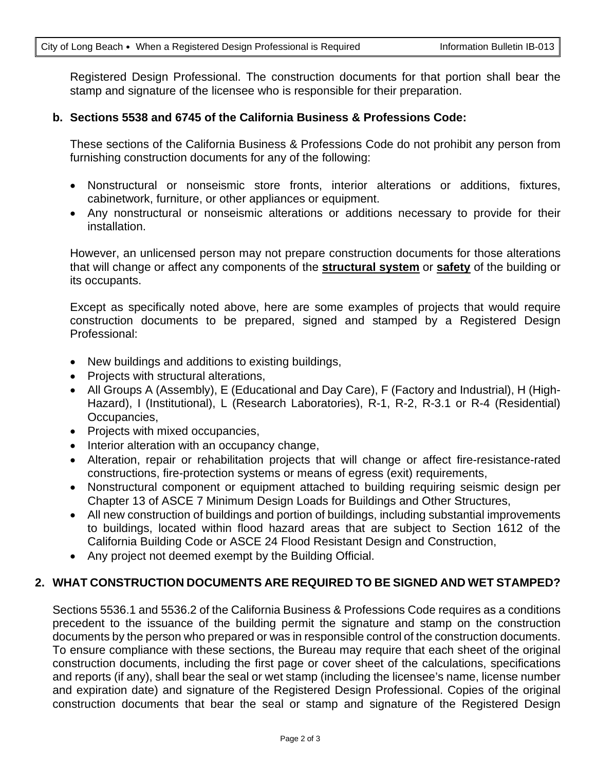Registered Design Professional. The construction documents for that portion shall bear the stamp and signature of the licensee who is responsible for their preparation.

#### **b. Sections 5538 and 6745 of the California Business & Professions Code:**

These sections of the California Business & Professions Code do not prohibit any person from furnishing construction documents for any of the following:

- Nonstructural or nonseismic store fronts, interior alterations or additions, fixtures, cabinetwork, furniture, or other appliances or equipment.
- Any nonstructural or nonseismic alterations or additions necessary to provide for their installation.

However, an unlicensed person may not prepare construction documents for those alterations that will change or affect any components of the **structural system** or **safety** of the building or its occupants.

Except as specifically noted above, here are some examples of projects that would require construction documents to be prepared, signed and stamped by a Registered Design Professional:

- New buildings and additions to existing buildings,
- Projects with structural alterations,
- All Groups A (Assembly), E (Educational and Day Care), F (Factory and Industrial), H (High-Hazard), I (Institutional), L (Research Laboratories), R-1, R-2, R-3.1 or R-4 (Residential) Occupancies,
- Projects with mixed occupancies,
- Interior alteration with an occupancy change,
- Alteration, repair or rehabilitation projects that will change or affect fire-resistance-rated constructions, fire-protection systems or means of egress (exit) requirements,
- Nonstructural component or equipment attached to building requiring seismic design per Chapter 13 of ASCE 7 Minimum Design Loads for Buildings and Other Structures,
- All new construction of buildings and portion of buildings, including substantial improvements to buildings, located within flood hazard areas that are subject to Section 1612 of the California Building Code or ASCE 24 Flood Resistant Design and Construction,
- Any project not deemed exempt by the Building Official.

#### **2. WHAT CONSTRUCTION DOCUMENTS ARE REQUIRED TO BE SIGNED AND WET STAMPED?**

Sections 5536.1 and 5536.2 of the California Business & Professions Code requires as a conditions precedent to the issuance of the building permit the signature and stamp on the construction documents by the person who prepared or was in responsible control of the construction documents. To ensure compliance with these sections, the Bureau may require that each sheet of the original construction documents, including the first page or cover sheet of the calculations, specifications and reports (if any), shall bear the seal or wet stamp (including the licensee's name, license number and expiration date) and signature of the Registered Design Professional. Copies of the original construction documents that bear the seal or stamp and signature of the Registered Design